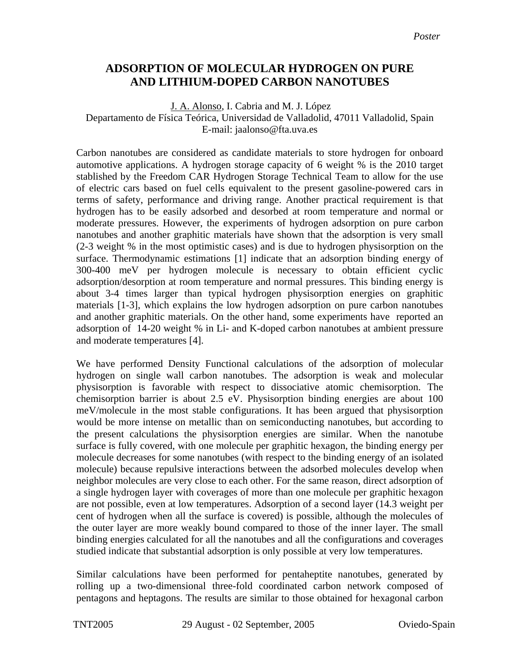## **ADSORPTION OF MOLECULAR HYDROGEN ON PURE AND LITHIUM-DOPED CARBON NANOTUBES**

 J. A. Alonso, I. Cabria and M. J. López Departamento de Física Teórica, Universidad de Valladolid, 47011 Valladolid, Spain E-mail: jaalonso@fta.uva.es

Carbon nanotubes are considered as candidate materials to store hydrogen for onboard automotive applications. A hydrogen storage capacity of 6 weight % is the 2010 target stablished by the Freedom CAR Hydrogen Storage Technical Team to allow for the use of electric cars based on fuel cells equivalent to the present gasoline-powered cars in terms of safety, performance and driving range. Another practical requirement is that hydrogen has to be easily adsorbed and desorbed at room temperature and normal or moderate pressures. However, the experiments of hydrogen adsorption on pure carbon nanotubes and another graphitic materials have shown that the adsorption is very small (2-3 weight % in the most optimistic cases) and is due to hydrogen physisorption on the surface. Thermodynamic estimations [1] indicate that an adsorption binding energy of 300-400 meV per hydrogen molecule is necessary to obtain efficient cyclic adsorption/desorption at room temperature and normal pressures. This binding energy is about 3-4 times larger than typical hydrogen physisorption energies on graphitic materials [1-3], which explains the low hydrogen adsorption on pure carbon nanotubes and another graphitic materials. On the other hand, some experiments have reported an adsorption of 14-20 weight % in Li- and K-doped carbon nanotubes at ambient pressure and moderate temperatures [4].

We have performed Density Functional calculations of the adsorption of molecular hydrogen on single wall carbon nanotubes. The adsorption is weak and molecular physisorption is favorable with respect to dissociative atomic chemisorption. The chemisorption barrier is about 2.5 eV. Physisorption binding energies are about 100 meV/molecule in the most stable configurations. It has been argued that physisorption would be more intense on metallic than on semiconducting nanotubes, but according to the present calculations the physisorption energies are similar. When the nanotube surface is fully covered, with one molecule per graphitic hexagon, the binding energy per molecule decreases for some nanotubes (with respect to the binding energy of an isolated molecule) because repulsive interactions between the adsorbed molecules develop when neighbor molecules are very close to each other. For the same reason, direct adsorption of a single hydrogen layer with coverages of more than one molecule per graphitic hexagon are not possible, even at low temperatures. Adsorption of a second layer (14.3 weight per cent of hydrogen when all the surface is covered) is possible, although the molecules of the outer layer are more weakly bound compared to those of the inner layer. The small binding energies calculated for all the nanotubes and all the configurations and coverages studied indicate that substantial adsorption is only possible at very low temperatures.

Similar calculations have been performed for pentaheptite nanotubes, generated by rolling up a two-dimensional three-fold coordinated carbon network composed of pentagons and heptagons. The results are similar to those obtained for hexagonal carbon